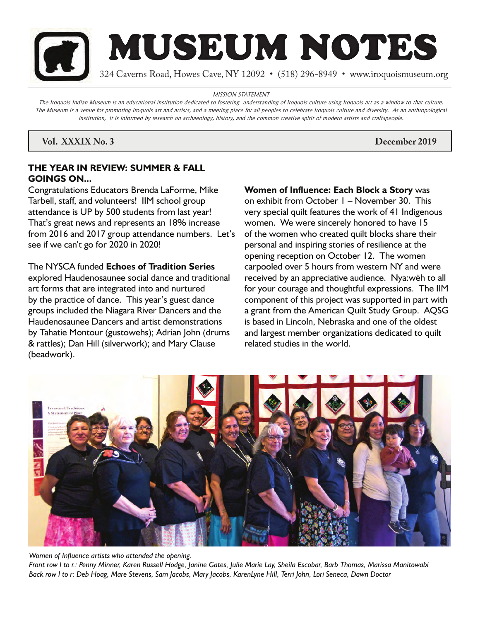

MISSION STATEMENT

The Iroquois Indian Museum is an educational institution dedicated to fostering understanding of Iroquois culture using Iroquois art as a window to that culture. The Museum is a venue for promoting Iroquois art and artists, and a meeting place for all peoples to celebrate Iroquois culture and diversity. As an anthropological institution, it is informed by research on archaeology, history, and the common creative spirit of modern artists and craftspeople.

*Vol. XXXIX No. 3* **December 2019** 

## **THE YEAR IN REVIEW: SUMMER & FALL GOINGS ON...**

Congratulations Educators Brenda LaForme, Mike Tarbell, staff, and volunteers! IIM school group attendance is UP by 500 students from last year! That's great news and represents an 18% increase from 2016 and 2017 group attendance numbers. Let's see if we can't go for 2020 in 2020!

## The NYSCA funded **Echoes of Tradition Series**

explored Haudenosaunee social dance and traditional art forms that are integrated into and nurtured by the practice of dance. This year's guest dance groups included the Niagara River Dancers and the Haudenosaunee Dancers and artist demonstrations by Tahatie Montour (gustowehs); Adrian John (drums & rattles); Dan Hill (silverwork); and Mary Clause (beadwork).

# **Women of Influence: Each Block a Story** was

on exhibit from October 1 – November 30. This very special quilt features the work of 41 Indigenous women. We were sincerely honored to have 15 of the women who created quilt blocks share their personal and inspiring stories of resilience at the opening reception on October 12. The women carpooled over 5 hours from western NY and were received by an appreciative audience. Nya:wëh to all for your courage and thoughtful expressions. The IIM component of this project was supported in part with a grant from the American Quilt Study Group. AQSG is based in Lincoln, Nebraska and one of the oldest and largest member organizations dedicated to quilt related studies in the world.



*Women of Influence artists who attended the opening.*

*Front row l to r.: Penny Minner, Karen Russell Hodge, Janine Gates, Julie Marie Lay, Sheila Escobar, Barb Thomas, Marissa Manitowabi Back row l to r: Deb Hoag, Mare Stevens, Sam Jacobs, Mary Jacobs, KarenLyne Hill, Terri John, Lori Seneca, Dawn Doctor*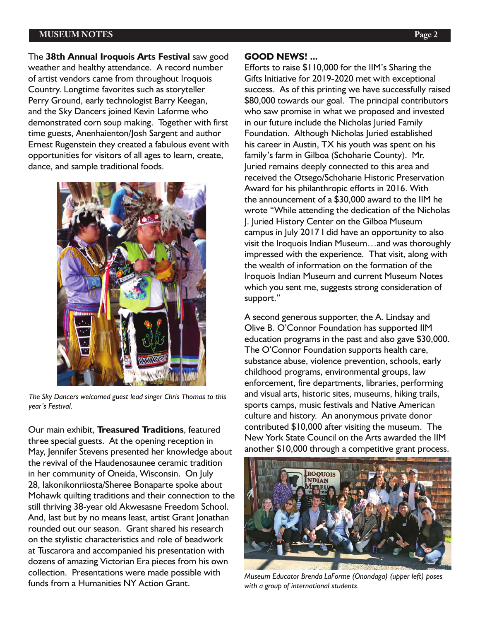#### **MUSEUM NOTES Page 2**

The **38th Annual Iroquois Arts Festival** saw good weather and healthy attendance. A record number of artist vendors came from throughout Iroquois Country. Longtime favorites such as storyteller Perry Ground, early technologist Barry Keegan, and the Sky Dancers joined Kevin Laforme who demonstrated corn soup making. Together with first time guests, Anenhaienton/Josh Sargent and author Ernest Rugenstein they created a fabulous event with opportunities for visitors of all ages to learn, create, dance, and sample traditional foods.



*The Sky Dancers welcomed guest lead singer Chris Thomas to this year's Festival.* 

Our main exhibit, **Treasured Traditions**, featured three special guests. At the opening reception in May, Jennifer Stevens presented her knowledge about the revival of the Haudenosaunee ceramic tradition in her community of Oneida, Wisconsin. On July 28, Iakonikonriiosta/Sheree Bonaparte spoke about Mohawk quilting traditions and their connection to the still thriving 38-year old Akwesasne Freedom School. And, last but by no means least, artist Grant Jonathan rounded out our season. Grant shared his research on the stylistic characteristics and role of beadwork at Tuscarora and accompanied his presentation with dozens of amazing Victorian Era pieces from his own collection. Presentations were made possible with funds from a Humanities NY Action Grant.

#### **GOOD NEWS! ...**

Efforts to raise \$110,000 for the IIM's Sharing the Gifts Initiative for 2019-2020 met with exceptional success. As of this printing we have successfully raised \$80,000 towards our goal. The principal contributors who saw promise in what we proposed and invested in our future include the Nicholas Juried Family Foundation. Although Nicholas Juried established his career in Austin, TX his youth was spent on his family's farm in Gilboa (Schoharie County). Mr. Juried remains deeply connected to this area and received the Otsego/Schoharie Historic Preservation Award for his philanthropic efforts in 2016. With the announcement of a \$30,000 award to the IIM he wrote "While attending the dedication of the Nicholas J. Juried History Center on the Gilboa Museum campus in July 2017 I did have an opportunity to also visit the Iroquois Indian Museum…and was thoroughly impressed with the experience. That visit, along with the wealth of information on the formation of the Iroquois Indian Museum and current Museum Notes which you sent me, suggests strong consideration of support."

A second generous supporter, the A. Lindsay and Olive B. O'Connor Foundation has supported IIM education programs in the past and also gave \$30,000. The O'Connor Foundation supports health care, substance abuse, violence prevention, schools, early childhood programs, environmental groups, law enforcement, fire departments, libraries, performing and visual arts, historic sites, museums, hiking trails, sports camps, music festivals and Native American culture and history. An anonymous private donor contributed \$10,000 after visiting the museum. The New York State Council on the Arts awarded the IIM another \$10,000 through a competitive grant process.



*Museum Educator Brenda LaForme (Onondaga) (upper left) poses with a group of international students.*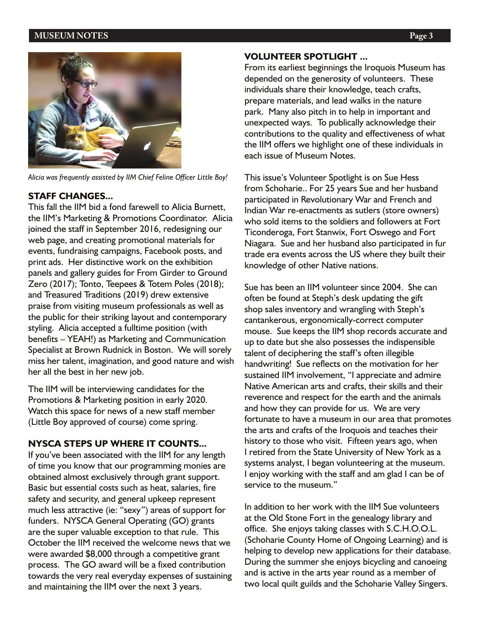#### **MUSEUM NOTES Page 3**



*Alicia was frequently assisted by IIM Chief Feline Officer Little Boy!* 

#### **STAFF CHANGES...**

This fall the IIM bid a fond farewell to Alicia Burnett, the IIM's Marketing & Promotions Coordinator. Alicia joined the staff in September 2016, redesigning our web page, and creating promotional materials for events, fundraising campaigns, Facebook posts, and print ads. Her distinctive work on the exhibition panels and gallery guides for From Girder to Ground Zero (2017); Tonto, Teepees & Totem Poles (2018); and Treasured Traditions (2019) drew extensive praise from visiting museum professionals as well as the public for their striking layout and contemporary styling. Alicia accepted a fulltime position (with benefits – YEAH!) as Marketing and Communication Specialist at Brown Rudnick in Boston. We will sorely miss her talent, imagination, and good nature and wish her all the best in her new job.

The IIM will be interviewing candidates for the Promotions & Marketing position in early 2020. Watch this space for news of a new staff member (Little Boy approved of course) come spring.

## **NYSCA STEPS UP WHERE IT COUNTS...**

If you've been associated with the IIM for any length of time you know that our programming monies are obtained almost exclusively through grant support. Basic but essential costs such as heat, salaries, fire safety and security, and general upkeep represent much less attractive (ie: "sexy") areas of support for funders. NYSCA General Operating (GO) grants are the super valuable exception to that rule. This October the IIM received the welcome news that we were awarded \$8,000 through a competitive grant process. The GO award will be a fixed contribution towards the very real everyday expenses of sustaining and maintaining the IIM over the next 3 years.

### **VOLUNTEER SPOTLIGHT ...**

From its earliest beginnings the Iroquois Museum has depended on the generosity of volunteers. These individuals share their knowledge, teach crafts, prepare materials, and lead walks in the nature park. Many also pitch in to help in important and unexpected ways. To publically acknowledge their contributions to the quality and effectiveness of what the IIM offers we highlight one of these individuals in each issue of Museum Notes.

This issue's Volunteer Spotlight is on Sue Hess from Schoharie.. For 25 years Sue and her husband participated in Revolutionary War and French and Indian War re-enactments as sutlers (store owners) who sold items to the soldiers and followers at Fort Ticonderoga, Fort Stanwix, Fort Oswego and Fort Niagara. Sue and her husband also participated in fur trade era events across the US where they built their knowledge of other Native nations.

Sue has been an IIM volunteer since 2004. She can often be found at Steph's desk updating the gift shop sales inventory and wrangling with Steph's cantankerous, ergonomically-correct computer mouse. Sue keeps the IIM shop records accurate and up to date but she also possesses the indispensible talent of deciphering the staff's often illegible handwriting! Sue reflects on the motivation for her sustained IIM involvement, "I appreciate and admire Native American arts and crafts, their skills and their reverence and respect for the earth and the animals and how they can provide for us. We are very fortunate to have a museum in our area that promotes the arts and crafts of the Iroquois and teaches their history to those who visit. Fifteen years ago, when I retired from the State University of New York as a systems analyst, I began volunteering at the museum. I enjoy working with the staff and am glad I can be of service to the museum."

In addition to her work with the IIM Sue volunteers at the Old Stone Fort in the genealogy library and office. She enjoys taking classes with S.C.H.O.O.L. (Schoharie County Home of Ongoing Learning) and is helping to develop new applications for their database. During the summer she enjoys bicycling and canoeing and is active in the arts year round as a member of two local quilt guilds and the Schoharie Valley Singers.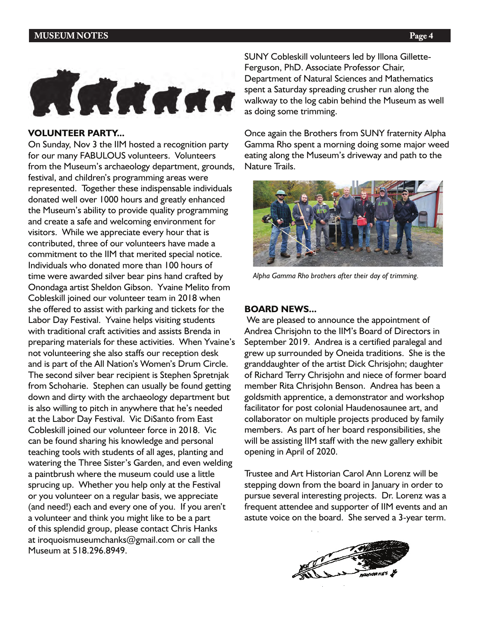

#### **VOLUNTEER PARTY...**

On Sunday, Nov 3 the IIM hosted a recognition party for our many FABULOUS volunteers. Volunteers from the Museum's archaeology department, grounds, festival, and children's programming areas were represented. Together these indispensable individuals donated well over 1000 hours and greatly enhanced the Museum's ability to provide quality programming and create a safe and welcoming environment for visitors. While we appreciate every hour that is contributed, three of our volunteers have made a commitment to the IIM that merited special notice. Individuals who donated more than 100 hours of time were awarded silver bear pins hand crafted by Onondaga artist Sheldon Gibson. Yvaine Melito from Cobleskill joined our volunteer team in 2018 when she offered to assist with parking and tickets for the Labor Day Festival. Yvaine helps visiting students with traditional craft activities and assists Brenda in preparing materials for these activities. When Yvaine's not volunteering she also staffs our reception desk and is part of the All Nation's Women's Drum Circle. The second silver bear recipient is Stephen Spretnjak from Schoharie. Stephen can usually be found getting down and dirty with the archaeology department but is also willing to pitch in anywhere that he's needed at the Labor Day Festival. Vic DiSanto from East Cobleskill joined our volunteer force in 2018. Vic can be found sharing his knowledge and personal teaching tools with students of all ages, planting and watering the Three Sister's Garden, and even welding a paintbrush where the museum could use a little sprucing up. Whether you help only at the Festival or you volunteer on a regular basis, we appreciate (and need!) each and every one of you. If you aren't a volunteer and think you might like to be a part of this splendid group, please contact Chris Hanks at iroquoismuseumchanks@gmail.com or call the Museum at 518.296.8949.

SUNY Cobleskill volunteers led by Illona Gillette-Ferguson, PhD. Associate Professor Chair, Department of Natural Sciences and Mathematics spent a Saturday spreading crusher run along the walkway to the log cabin behind the Museum as well as doing some trimming.

Once again the Brothers from SUNY fraternity Alpha Gamma Rho spent a morning doing some major weed eating along the Museum's driveway and path to the Nature Trails.



*Alpha Gamma Rho brothers after their day of trimming.*

#### **BOARD NEWS...**

 We are pleased to announce the appointment of Andrea Chrisjohn to the IIM's Board of Directors in September 2019. Andrea is a certified paralegal and grew up surrounded by Oneida traditions. She is the granddaughter of the artist Dick Chrisjohn; daughter of Richard Terry Chrisjohn and niece of former board member Rita Chrisjohn Benson. Andrea has been a goldsmith apprentice, a demonstrator and workshop facilitator for post colonial Haudenosaunee art, and collaborator on multiple projects produced by family members. As part of her board responsibilities, she will be assisting IIM staff with the new gallery exhibit opening in April of 2020.

Trustee and Art Historian Carol Ann Lorenz will be stepping down from the board in January in order to pursue several interesting projects. Dr. Lorenz was a frequent attendee and supporter of IIM events and an astute voice on the board. She served a 3-year term.

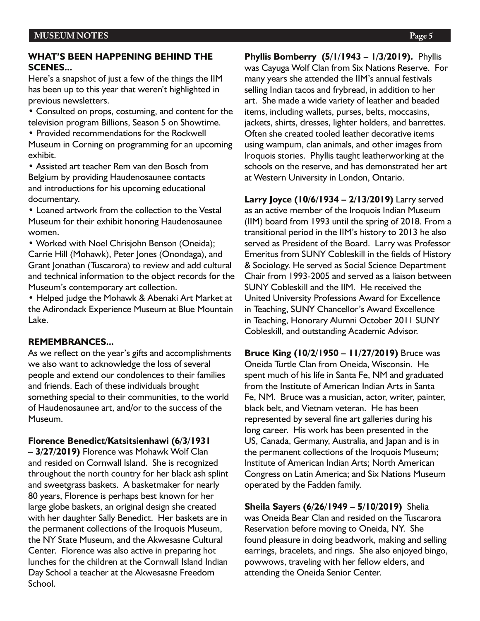## **WHAT'S BEEN HAPPENING BEHIND THE SCENES...**

Here's a snapshot of just a few of the things the IIM has been up to this year that weren't highlighted in previous newsletters.

• Consulted on props, costuming, and content for the television program Billions, Season 5 on Showtime.

• Provided recommendations for the Rockwell Museum in Corning on programming for an upcoming exhibit.

• Assisted art teacher Rem van den Bosch from Belgium by providing Haudenosaunee contacts and introductions for his upcoming educational documentary.

• Loaned artwork from the collection to the Vestal Museum for their exhibit honoring Haudenosaunee women.

• Worked with Noel Chrisjohn Benson (Oneida); Carrie Hill (Mohawk), Peter Jones (Onondaga), and Grant Jonathan (Tuscarora) to review and add cultural and technical information to the object records for the Museum's contemporary art collection.

• Helped judge the Mohawk & Abenaki Art Market at the Adirondack Experience Museum at Blue Mountain Lake.

## **REMEMBRANCES...**

As we reflect on the year's gifts and accomplishments we also want to acknowledge the loss of several people and extend our condolences to their families and friends. Each of these individuals brought something special to their communities, to the world of Haudenosaunee art, and/or to the success of the Museum.

**Florence Benedict/Katsitsienhawi (6/3/1931** 

**– 3/27/2019)** Florence was Mohawk Wolf Clan and resided on Cornwall Island. She is recognized throughout the north country for her black ash splint and sweetgrass baskets. A basketmaker for nearly 80 years, Florence is perhaps best known for her large globe baskets, an original design she created with her daughter Sally Benedict. Her baskets are in the permanent collections of the Iroquois Museum, the NY State Museum, and the Akwesasne Cultural Center. Florence was also active in preparing hot lunches for the children at the Cornwall Island Indian Day School a teacher at the Akwesasne Freedom School.

**Phyllis Bomberry (5/1/1943 – 1/3/2019).** Phyllis was Cayuga Wolf Clan from Six Nations Reserve. For many years she attended the IIM's annual festivals selling Indian tacos and frybread, in addition to her art. She made a wide variety of leather and beaded items, including wallets, purses, belts, moccasins, jackets, shirts, dresses, lighter holders, and barrettes. Often she created tooled leather decorative items using wampum, clan animals, and other images from Iroquois stories. Phyllis taught leatherworking at the schools on the reserve, and has demonstrated her art at Western University in London, Ontario.

**Larry Joyce (10/6/1934 – 2/13/2019)** Larry served as an active member of the Iroquois Indian Museum (IIM) board from 1993 until the spring of 2018. From a transitional period in the IIM's history to 2013 he also served as President of the Board. Larry was Professor Emeritus from SUNY Cobleskill in the fields of History & Sociology. He served as Social Science Department Chair from 1993-2005 and served as a liaison between SUNY Cobleskill and the IIM. He received the United University Professions Award for Excellence in Teaching, SUNY Chancellor's Award Excellence in Teaching, Honorary Alumni October 2011 SUNY Cobleskill, and outstanding Academic Advisor.

**Bruce King (10/2/1950 – 11/27/2019)** Bruce was Oneida Turtle Clan from Oneida, Wisconsin. He spent much of his life in Santa Fe, NM and graduated from the Institute of American Indian Arts in Santa Fe, NM. Bruce was a musician, actor, writer, painter, black belt, and Vietnam veteran. He has been represented by several fine art galleries during his long career. His work has been presented in the US, Canada, Germany, Australia, and Japan and is in the permanent collections of the Iroquois Museum; Institute of American Indian Arts; North American Congress on Latin America; and Six Nations Museum operated by the Fadden family.

**Sheila Sayers (6/26/1949 – 5/10/2019)** Shelia was Oneida Bear Clan and resided on the Tuscarora Reservation before moving to Oneida, NY. She found pleasure in doing beadwork, making and selling earrings, bracelets, and rings. She also enjoyed bingo, powwows, traveling with her fellow elders, and attending the Oneida Senior Center.